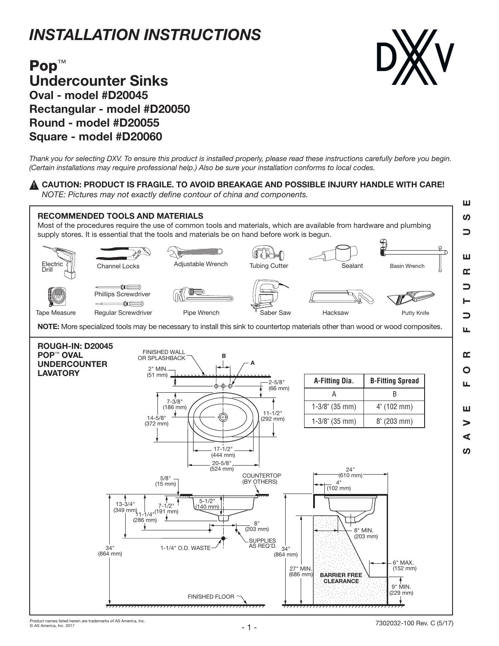## *INSTALLATION INSTRUCTIONS*



## Pop<sup>™</sup> Undercounter Sinks Oval - model #D20045 Rectangular - model #D20050 Round - model #D20055 Square - model #D20060

*Thank you for selecting DXV. To ensure this product is installed properly, please read these instructions carefully before you begin. (Certain installations may require professional help.) Also be sure your installation conforms to local codes.*

## $\blacktriangle$  CAUTION: PRODUCT IS FRAGILE. TO AVOID BREAKAGE AND POSSIBLE INJURY HANDLE WITH CARE!

*NOTE: Pictures may not exactly define contour of china and components.*

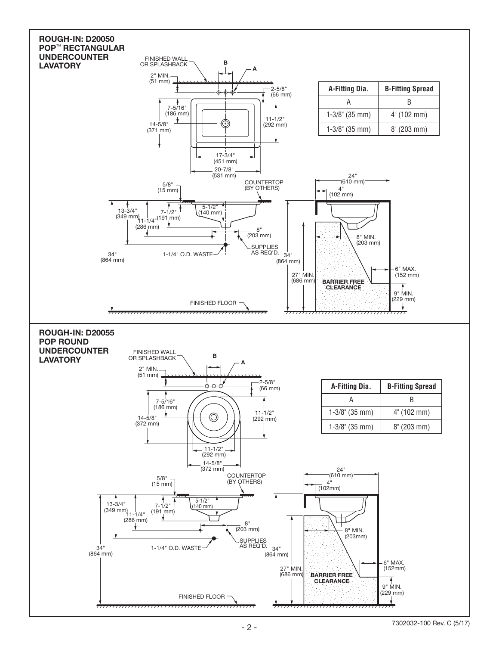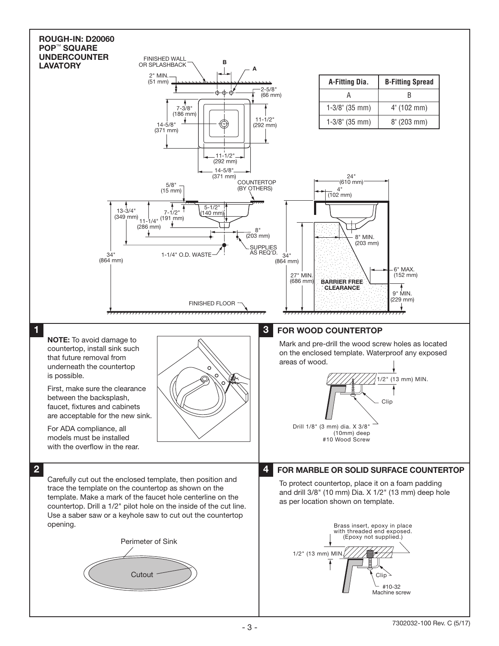